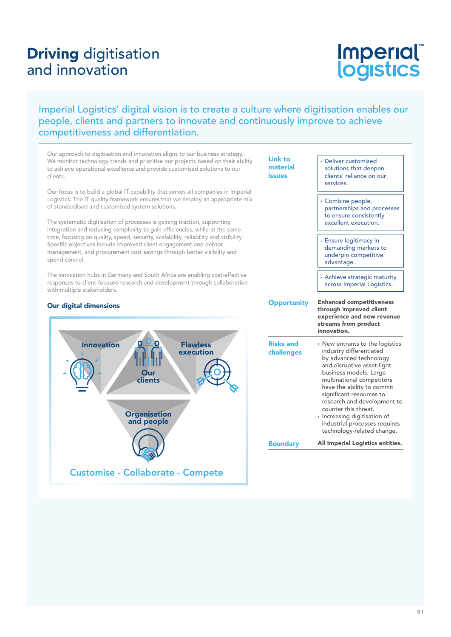# Driving digitisation and innovation

# Imperial®<br>logistics

### Imperial Logistics' digital vision is to create a culture where digitisation enables our people, clients and partners to innovate and continuously improve to achieve competitiveness and differentiation.

Our approach to digitisation and innovation aligns to our business strategy. We monitor technology trends and prioritise our projects based on their ability to achieve operational excellence and provide customised solutions to our clients.

Our focus is to build a global IT capability that serves all companies in Imperial Logistics. The IT quality framework ensures that we employ an appropriate mix of standardised and customised system solutions.

The systematic digitisation of processes is gaining traction, supporting integration and reducing complexity to gain efficiencies, while at the same time, focusing on quality, speed, security, scalability, reliability and visibility. Specific objectives include improved client engagement and debtor management, and procurement cost savings through better visibility and spend control.

The innovation hubs in Germany and South Africa are enabling cost-effective responses to client-focused research and development through collaboration with multiple stakeholders.

#### Our digital dimensions



| <b>Link to</b><br>material<br>issues | <b>Deliver customised</b><br>solutions that deepen<br>clients' reliance on our<br>services.                                                                                                                                                                                                                                                                                                           |  |  |
|--------------------------------------|-------------------------------------------------------------------------------------------------------------------------------------------------------------------------------------------------------------------------------------------------------------------------------------------------------------------------------------------------------------------------------------------------------|--|--|
|                                      | > Combine people,<br>partnerships and processes<br>to ensure consistently<br>excellent execution.                                                                                                                                                                                                                                                                                                     |  |  |
|                                      | <b>Ensure legitimacy in</b><br>demanding markets to<br>underpin competitive<br>advantage.                                                                                                                                                                                                                                                                                                             |  |  |
|                                      | > Achieve strategic maturity<br>across Imperial Logistics.                                                                                                                                                                                                                                                                                                                                            |  |  |
| <b>Opportunity</b>                   | <b>Enhanced competitiveness</b><br>through improved client<br>experience and new revenue<br>streams from product<br>innovation.                                                                                                                                                                                                                                                                       |  |  |
| <b>Risks and</b><br>challenges       | $\rightarrow$ New entrants to the logistics<br>industry differentiated<br>by advanced technology<br>and disruptive asset-light<br>business models. Large<br>multinational competitors<br>have the ability to commit<br>significant resources to<br>research and development to<br>counter this threat.<br>> Increasing digitisation of<br>industrial processes requires<br>technology-related change. |  |  |
|                                      |                                                                                                                                                                                                                                                                                                                                                                                                       |  |  |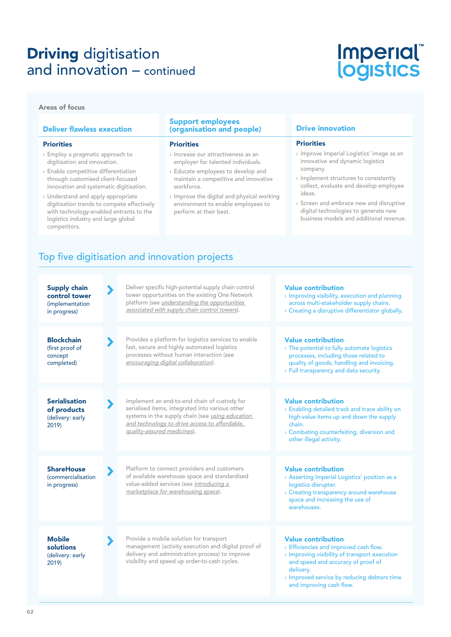# **Driving digitisation** and innovation – continued

# Imperial®<br>logistics

#### Areas of focus

#### Deliver flawless execution **Priorities** › Employ a pragmatic approach to digitisation and innovation. › Enable competitive differentiation through customised client-focused innovation and systematic digitisation. › Understand and apply appropriate digitisation trends to compete effectively with technology-enabled entrants to the logistics industry and large global competitors. Support employees (organisation and people) **Priorities** › Increase our attractiveness as an employer for talented individuals. › Educate employees to develop and maintain a competitive and innovative workforce. › Improve the digital and physical working environment to enable employees to perform at their best. Drive innovation **Priorities** › Improve Imperial Logistics' image as an innovative and dynamic logistics company. › Implement structures to consistently collect, evaluate and develop employee ideas. › Screen and embrace new and disruptive digital technologies to generate new business models and additional revenue. Top five digitisation and innovation projects

| <b>Supply chain</b><br>control tower<br>(implementation<br>in progress) | $\blacktriangleright$ | Deliver specific high-potential supply chain control<br>tower opportunities on the existing One Network<br>platform (see <i>understanding the opportunities</i><br>associated with supply chain control towers).                           | <b>Value contribution</b><br>> Improving visibility, execution and planning<br>across multi-stakeholder supply chains.<br>> Creating a disruptive differentiator globally.                                                                         |
|-------------------------------------------------------------------------|-----------------------|--------------------------------------------------------------------------------------------------------------------------------------------------------------------------------------------------------------------------------------------|----------------------------------------------------------------------------------------------------------------------------------------------------------------------------------------------------------------------------------------------------|
| <b>Blockchain</b><br>(first proof of<br>concept<br>completed)           |                       | Provides a platform for logistics services to enable<br>fast, secure and highly automated logistics<br>processes without human interaction (see<br>encouraging digital collaboration).                                                     | <b>Value contribution</b><br>> The potential to fully automate logistics<br>processes, including those related to<br>quality of goods, handling and invoicing.<br>> Full transparency and data security.                                           |
| <b>Serialisation</b><br>of products<br>(delivery: early<br>2019)        |                       | Implement an end-to-end chain of custody for<br>serialised items, integrated into various other<br>systems in the supply chain (see <i>using education</i><br>and technology to drive access to affordable,<br>quality-assured medicines). | <b>Value contribution</b><br>> Enabling detailed track and trace ability on<br>high-value items up and down the supply<br>chain.<br>> Combating counterfeiting, diversion and<br>other illegal activity.                                           |
| <b>ShareHouse</b><br><i>(commercialisation)</i><br>in progress)         | $\blacktriangleright$ | Platform to connect providers and customers<br>of available warehouse space and standardised<br>value-added services (see introducing a<br>marketplace for warehousing space).                                                             | <b>Value contribution</b><br>> Asserting Imperial Logistics' position as a<br>logistics disrupter.<br>> Creating transparency around warehouse<br>space and increasing the use of<br>warehouses.                                                   |
| <b>Mobile</b><br>solutions<br>(delivery: early<br>2019)                 |                       | Provide a mobile solution for transport<br>management (activity execution and digital proof of<br>delivery and administration process) to improve<br>visibility and speed up order-to-cash cycles.                                         | <b>Value contribution</b><br>> Efficiencies and improved cash flow.<br>> Improving visibility of transport execution<br>and speed and accuracy of proof of<br>delivery.<br>> Improved service by reducing debtors time<br>and improving cash flow. |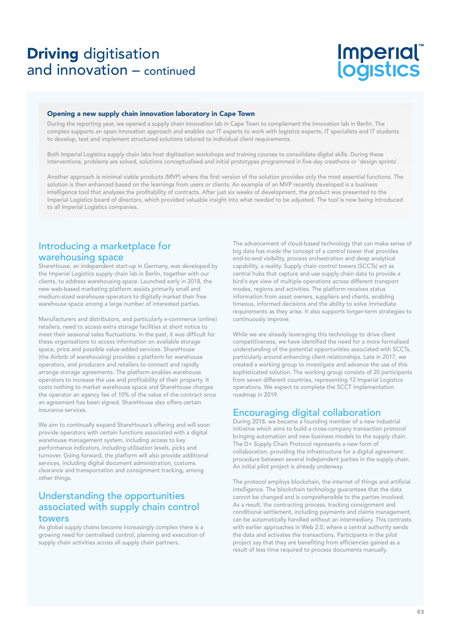## Driving digitisation and innovation – continued

# Imperial®<br>logistics

#### Opening a new supply chain innovation laboratory in Cape Town

During the reporting year, we opened a supply chain innovation lab in Cape Town to complement the innovation lab in Berlin. The complex supports an open innovation approach and enables our IT experts to work with logistics experts, IT specialists and IT students to develop, test and implement structured solutions tailored to individual client requirements.

Both Imperial Logistics supply chain labs host digitisation workshops and training courses to consolidate digital skills. During these interventions, problems are solved, solutions conceptualised and initial prototypes programmed in five-day creathons or 'design sprints'.

Another approach is minimal viable products (MVP) where the first version of the solution provides only the most essential functions. The solution is then enhanced based on the learnings from users or clients. An example of an MVP recently developed is a business intelligence tool that analyses the profitability of contracts. After just six weeks of development, the product was presented to the Imperial Logistics board of directors, which provided valuable insight into what needed to be adjusted. The tool is now being introduced to all Imperial Logistics companies.

## Introducing a marketplace for warehousing space

ShareHouse, an independent start-up in Germany, was developed by the Imperial Logistics supply chain lab in Berlin, together with our clients, to address warehousing space. Launched early in 2018, the new web-based marketing platform assists primarily small and medium-sized warehouse operators to digitally market their free warehouse space among a large number of interested parties.

Manufacturers and distributors, and particularly e-commerce (online) retailers, need to access extra storage facilities at short notice to meet their seasonal sales fluctuations. In the past, it was difficult for these organisations to access information on available storage space, price and possible value-added services. ShareHouse (the Airbnb of warehousing) provides a platform for warehouse operators, and producers and retailers to connect and rapidly arrange storage agreements. The platform enables warehouse operators to increase the use and profitability of their property. It costs nothing to market warehouse space and ShareHouse charges the operator an agency fee of 10% of the value of the contract once an agreement has been signed. ShareHouse also offers certain insurance services.

We aim to continually expand ShareHouse's offering and will soon provide operators with certain functions associated with a digital warehouse management system, including access to key performance indicators, including utilisation levels, picks and turnover. Going forward, the platform will also provide additional services, including digital document administration, customs clearance and transportation and consignment tracking, among other things.

### Understanding the opportunities associated with supply chain control towers

#### As global supply chains become increasingly complex there is a growing need for centralised control, planning and execution of supply chain activities across all supply chain partners.

The advancement of cloud-based technology that can make sense of big data has made the concept of a control tower that provides end-to-end visibility, process orchestration and deep analytical capability, a reality. Supply chain control towers (SCCTs) act as central hubs that capture and use supply chain data to provide a bird's eye view of multiple operations across different transport modes, regions and activities. The platform receives status information from asset owners, suppliers and clients, enabling timeous, informed decisions and the ability to solve immediate requirements as they arise. It also supports longer-term strategies to continuously improve.

While we are already leveraging this technology to drive client competitiveness, we have identified the need for a more formalised understanding of the potential opportunities associated with SCCTs, particularly around enhancing client relationships. Late in 2017, we created a working group to investigate and advance the use of this sophisticated solution. The working group consists of 20 participants from seven different countries, representing 12 Imperial Logistics operations. We expect to complete the SCCT implementation roadmap in 2019.

### Encouraging digital collaboration

During 2018, we became a founding member of a new industrial initiative which aims to build a cross-company transaction protocol bringing automation and new business models to the supply chain. The D+ Supply Chain Protocol represents a new form of collaboration, providing the infrastructure for a digital agreement procedure between several independent parties in the supply chain. An initial pilot project is already underway.

The protocol employs blockchain, the internet of things and artificial intelligence. The blockchain technology guarantees that the data cannot be changed and is comprehensible to the parties involved. As a result, the contracting process, tracking consignment and conditional settlement, including payments and claims management, can be automatically handled without an intermediary. This contrasts with earlier approaches in Web 2.0, where a central authority sends the data and activates the transactions. Participants in the pilot project say that they are benefiting from efficiencies gained as a result of less time required to process documents manually.